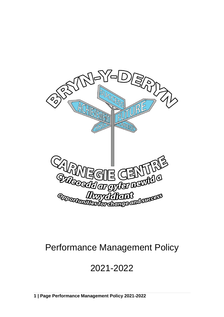

# Performance Management Policy

# 2021-2022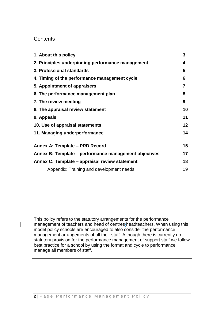### **Contents**

| 1. About this policy                                  | 3  |
|-------------------------------------------------------|----|
| 2. Principles underpinning performance management     | 4  |
| 3. Professional standards                             | 5  |
| 4. Timing of the performance management cycle         | 6  |
| 5. Appointment of appraisers                          | 7  |
| 6. The performance management plan                    | 8  |
| 7. The review meeting                                 | 9  |
| 8. The appraisal review statement                     | 10 |
| 9. Appeals                                            | 11 |
| 10. Use of appraisal statements                       | 12 |
| 11. Managing underperformance                         | 14 |
| Annex A: Template - PRD Record                        | 15 |
| Annex B: Template – performance management objectives | 17 |
| Annex C: Template – appraisal review statement        | 18 |
| Appendix: Training and development needs              | 19 |

This policy refers to the statutory arrangements for the performance management of teachers and head of centres/headteachers. When using this model policy schools are encouraged to also consider the performance management arrangements of all their staff. Although there is currently no statutory provision for the performance management of support staff we follow best practice for a school by using the format and cycle to performance manage all members of staff.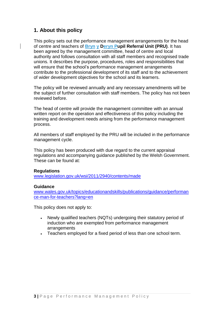## **1. About this policy**

This policy sets out the performance management arrangements for the head of centre and teachers of **Bryn y Deryn Pupil Referral Unit (PRU)**. It has been agreed by the management committee, head of centre and local authority and follows consultation with all staff members and recognised trade unions. It describes the purpose, procedures, roles and responsibilities that will ensure that the school's performance management arrangements contribute to the professional development of its staff and to the achievement of wider development objectives for the school and its learners.

The policy will be reviewed annually and any necessary amendments will be the subject of further consultation with staff members. The policy has not been reviewed before.

The head of centre will provide the management committee with an annual written report on the operation and effectiveness of this policy including the training and development needs arising from the performance management process.

All members of staff employed by the PRU will be included in the performance management cycle.

This policy has been produced with due regard to the current appraisal regulations and accompanying guidance published by the Welsh Government. These can be found at:

#### **Regulations**

[www.legislation.gov.uk/wsi/2011/2940/contents/made](http://www.legislation.gov.uk/wsi/2011/2940/contents/made)

#### **Guidance**

[www.wales.gov.uk/topics/educationandskills/publications/guidance/performan](http://www.wales.gov.uk/topics/educationandskills/publications/guidance/performance-man-for-teachers?lang=en) [ce-man-for-teachers?lang=en](http://www.wales.gov.uk/topics/educationandskills/publications/guidance/performance-man-for-teachers?lang=en)

This policy does not apply to:

- Newly qualified teachers (NQTs) undergoing their statutory period of induction who are exempted from performance management arrangements
- Teachers employed for a fixed period of less than one school term.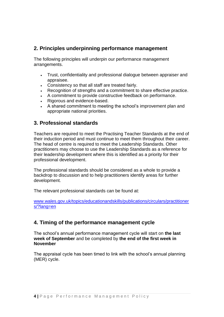## **2. Principles underpinning performance management**

The following principles will underpin our performance management arrangements.

- Trust, confidentiality and professional dialogue between appraiser and appraisee.
- Consistency so that all staff are treated fairly.
- Recognition of strengths and a commitment to share effective practice.
- A commitment to provide constructive feedback on performance.
- Rigorous and evidence-based.
- A shared commitment to meeting the school's improvement plan and appropriate national priorities.

## **3. Professional standards**

Teachers are required to meet the Practising Teacher Standards at the end of their induction period and must continue to meet them throughout their career. The head of centre is required to meet the Leadership Standards. Other practitioners may choose to use the Leadership Standards as a reference for their leadership development where this is identified as a priority for their professional development.

The professional standards should be considered as a whole to provide a backdrop to discussion and to help practitioners identify areas for further development.

The relevant professional standards can be found at:

[www.wales.gov.uk/topics/educationandskills/publications/circulars/practitioner](http://www.wales.gov.uk/topics/educationandskills/publications/circulars/practitioners/?lang=en) [s/?lang=en](http://www.wales.gov.uk/topics/educationandskills/publications/circulars/practitioners/?lang=en)

## **4. Timing of the performance management cycle**

The school's annual performance management cycle will start on **the last week of September** and be completed by **the end of the first week in November**

The appraisal cycle has been timed to link with the school's annual planning (MER) cycle.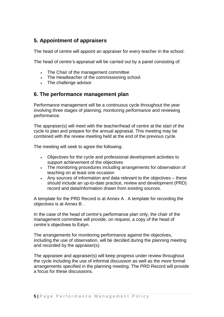## **5. Appointment of appraisers**

The head of centre will appoint an appraiser for every teacher in the school.

The head of centre's appraisal will be carried out by a panel consisting of:

- The Chair of the management committee
- The Headteacher of the commissioning school.
- The challenge advisor

### **6. The performance management plan**

Performance management will be a continuous cycle throughout the year involving three stages of planning, monitoring performance and reviewing performance.

The appraiser(s) will meet with the teacher/head of centre at the start of the cycle to plan and prepare for the annual appraisal. This meeting may be combined with the review meeting held at the end of the previous cycle.

The meeting will seek to agree the following:

- Objectives for the cycle and professional development activities to support achievement of the objectives
- The monitoring procedures including arrangements for observation of teaching on at least one occasion
- Any sources of information and data relevant to the objectives these should include an up-to-date practice, review and development (PRD) record and data/information drawn from existing sources.

A template for the PRD Record is at Annex A . A template for recording the objectives is at Annex B .

In the case of the head of centre's performance plan only, the chair of the management committee will provide, on request, a copy of the head of centre's objectives to Estyn.

The arrangements for monitoring performance against the objectives, including the use of observation, will be decided during the planning meeting and recorded by the appraiser(s).

The appraisee and appraiser(s) will keep progress under review throughout the cycle including the use of informal discussion as well as the more formal arrangements specified in the planning meeting. The PRD Record will provide a focus for these discussions.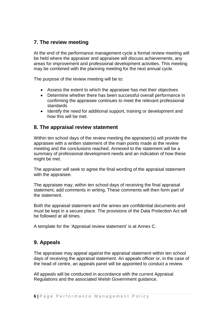## **7. The review meeting**

At the end of the performance management cycle a formal review meeting will be held where the appraiser and appraisee will discuss achievements, any areas for improvement and professional development activities. This meeting may be combined with the planning meeting for the next annual cycle.

The purpose of the review meeting will be to:

- Assess the extent to which the appraisee has met their objectives
- Determine whether there has been successful overall performance in confirming the appraisee continues to meet the relevant professional standards
- Identify the need for additional support, training or development and how this will be met.

## **8. The appraisal review statement**

Within ten school days of the review meeting the appraiser(s) will provide the appraisee with a written statement of the main points made at the review meeting and the conclusions reached. Annexed to the statement will be a summary of professional development needs and an indication of how these might be met.

The appraiser will seek to agree the final wording of the appraisal statement with the appraisee.

The appraisee may, within ten school days of receiving the final appraisal statement, add comments in writing. These comments will then form part of the statement.

Both the appraisal statement and the annex are confidential documents and must be kept in a secure place. The provisions of the Data Protection Act will be followed at all times.

A template for the 'Appraisal review statement' is at Annex C.

## **9. Appeals**

The appraisee may appeal against the appraisal statement within ten school days of receiving the appraisal statement. An appeals officer or, in the case of the head of centre, an appeals panel will be appointed to conduct a review.

All appeals will be conducted in accordance with the current Appraisal Regulations and the associated Welsh Government guidance.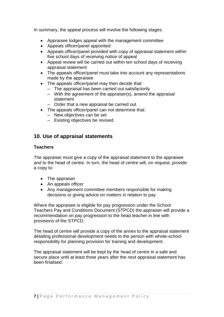In summary, the appeal process will involve the following stages.

- Appraisee lodges appeal with the management committee
- Appeals officer/panel appointed
- Appeals officer/panel provided with copy of appraisal statement within five school days of receiving notice of appeal
- Appeal review will be carried out within ten school days of receiving appraisal statement
- The appeals officer/panel must take into account any representations made by the appraisee
- The appeals officer/panel may then decide that:
	- The appraisal has been carried out satisfactorily
	- With the agreement of the appraiser(s), amend the appraisal statement
	- Order that a new appraisal be carried out.
- The appeals officer/panel can not determine that:
	- New objectives can be set
	- Existing objectives be revised.

## **10. Use of appraisal statements**

#### **Teachers**

The appraiser must give a copy of the appraisal statement to the appraisee and to the head of centre. In turn, the head of centre will, on request, provide a copy to:

- The appraiser
- An appeals officer
- Any management committee members responsible for making decisions or giving advice on matters in relation to pay

Where the appraisee is eligible for pay progression under the School Teachers Pay and Conditions Document (STPCD) the appraiser will provide a recommendation on pay progression to the head teacher in line with provisions of the STPCD.

The head of centre will provide a copy of the annex to the appraisal statement detailing professional development needs to the person with whole-school responsibility for planning provision for training and development.

The appraisal statement will be kept by the head of centre in a safe and secure place until at least three years after the next appraisal statement has been finalised.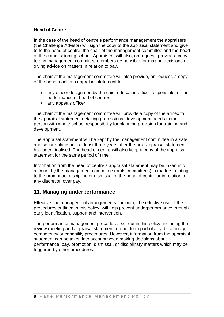#### **Head of Centre**

In the case of the head of centre's performance management the appraisers (the Challenge Advisor) will sign the copy of the appraisal statement and give to to the head of centre, the chair of the management committee and the head of the commissioning school. Appraisers will also, on request, provide a copy to any management committee members responsible for making decisions or giving advice on matters in relation to pay.

The chair of the management committee will also provide, on request, a copy of the head teacher's appraisal statement to:

- any officer designated by the chief education officer responsible for the performance of head of centres
- any appeals officer

The chair of the management committee will provide a copy of the annex to the appraisal statement detailing professional development needs to the person with whole-school responsibility for planning provision for training and development.

The appraisal statement will be kept by the management committee in a safe and secure place until at least three years after the next appraisal statement has been finalised. The head of centre will also keep a copy of the appraisal statement for the same period of time.

Information from the head of centre's appraisal statement may be taken into account by the management committee (or its committees) in matters relating to the promotion, discipline or dismissal of the head of centre or in relation to any discretion over pay.

### **11. Managing underperformance**

Effective line management arrangements, including the effective use of the procedures outlined in this policy, will help prevent underperformance through early identification, support and intervention.

The performance management procedures set out in this policy, including the review meeting and appraisal statement, do not form part of any disciplinary, competency or capability procedures. However, information from the appraisal statement can be taken into account when making decisions about performance, pay, promotion, dismissal, or disciplinary matters which may be triggered by other procedures.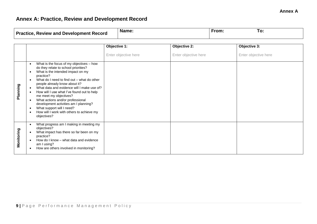## **Annex A: Practice, Review and Development Record**

| <b>Practice, Review and Development Record</b> | <b>Name:</b> | rom. | l O |
|------------------------------------------------|--------------|------|-----|

|            |                                                                                                                                                                                                                                                                                                                                                                                                                                                                                                                                                                                                          | Objective 1:         | Objective 2:         | Objective 3:         |
|------------|----------------------------------------------------------------------------------------------------------------------------------------------------------------------------------------------------------------------------------------------------------------------------------------------------------------------------------------------------------------------------------------------------------------------------------------------------------------------------------------------------------------------------------------------------------------------------------------------------------|----------------------|----------------------|----------------------|
|            |                                                                                                                                                                                                                                                                                                                                                                                                                                                                                                                                                                                                          | Enter objective here | Enter objective here | Enter objective here |
| Planning   | What is the focus of my objectives - how<br>$\bullet$<br>do they relate to school priorities?<br>What is the intended impact on my<br>$\bullet$<br>practice?<br>What do I need to find out - what do other<br>$\bullet$<br>people already know about it?<br>What data and evidence will I make use of?<br>$\bullet$<br>How will I use what I've found out to help<br>$\bullet$<br>me meet my objectives?<br>What actions and/or professional<br>$\bullet$<br>development activities am I planning?<br>What support will I need?<br>$\bullet$<br>How will I work with others to achieve my<br>objectives? |                      |                      |                      |
| Monitoring | What progress am I making in meeting my<br>$\bullet$<br>objectives?<br>What impact has there so far been on my<br>practice?<br>How do I know - what data and evidence<br>$\bullet$<br>am I using?<br>How are others involved in monitoring?<br>$\bullet$                                                                                                                                                                                                                                                                                                                                                 |                      |                      |                      |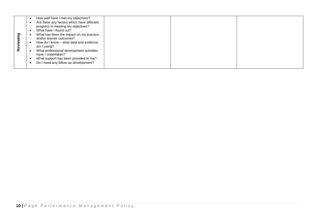| Reviewing | How well have I met my objectives?<br>$\bullet$<br>Are there any factors which have affected<br>$\bullet$<br>progress in meeting my objectives?<br>What have I found out?<br>$\bullet$<br>What has been the impact on my practice<br>$\bullet$<br>and/or learner outcomes?<br>How do I know - what data and evidence<br>$\bullet$<br>am I using?<br>What professional development activities<br>have I undertaken?<br>$\bullet$<br>What support has been provided to me?<br>$\bullet$<br>Do I need any follow up development?<br>$\bullet$ |  |  |  |
|-----------|--------------------------------------------------------------------------------------------------------------------------------------------------------------------------------------------------------------------------------------------------------------------------------------------------------------------------------------------------------------------------------------------------------------------------------------------------------------------------------------------------------------------------------------------|--|--|--|
|           |                                                                                                                                                                                                                                                                                                                                                                                                                                                                                                                                            |  |  |  |
|           |                                                                                                                                                                                                                                                                                                                                                                                                                                                                                                                                            |  |  |  |
|           |                                                                                                                                                                                                                                                                                                                                                                                                                                                                                                                                            |  |  |  |
|           |                                                                                                                                                                                                                                                                                                                                                                                                                                                                                                                                            |  |  |  |
|           |                                                                                                                                                                                                                                                                                                                                                                                                                                                                                                                                            |  |  |  |
|           |                                                                                                                                                                                                                                                                                                                                                                                                                                                                                                                                            |  |  |  |
|           |                                                                                                                                                                                                                                                                                                                                                                                                                                                                                                                                            |  |  |  |
|           | 10   Page Performance Management Policy                                                                                                                                                                                                                                                                                                                                                                                                                                                                                                    |  |  |  |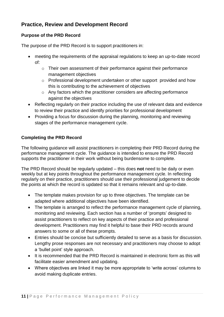## **Practice, Review and Development Record**

#### **Purpose of the PRD Record**

The purpose of the PRD Record is to support practitioners in:

- meeting the requirements of the appraisal regulations to keep an up-to-date record of:
	- o Their own assessment of their performance against their performance management objectives
	- o Professional development undertaken or other support provided and how this is contributing to the achievement of objectives
	- o Any factors which the practitioner considers are affecting performance against the objectives
- Reflecting regularly on their practice including the use of relevant data and evidence to review their practice and identify priorities for professional development
- Providing a focus for discussion during the planning, monitoring and reviewing stages of the performance management cycle.

#### **Completing the PRD Record**

The following guidance will assist practitioners in completing their PRD Record during the performance management cycle. The guidance is intended to ensure the PRD Record supports the practitioner in their work without being burdensome to complete.

The PRD Record should be regularly updated – this does **not** need to be daily or even weekly but at key points throughout the performance management cycle. In reflecting regularly on their practice, practitioners should use their professional judgement to decide the points at which the record is updated so that it remains relevant and up-to-date.

- The template makes provision for up to three objectives. The template can be adapted where additional objectives have been identified.
- The template is arranged to reflect the performance management cycle of planning, monitoring and reviewing. Each section has a number of 'prompts' designed to assist practitioners to reflect on key aspects of their practice and professional development. Practitioners may find it helpful to base their PRD records around answers to some or all of these prompts.
- Entries should be concise but sufficiently detailed to serve as a basis for discussion. Lengthy prose responses are not necessary and practitioners may choose to adopt a 'bullet point' style approach.
- It is recommended that the PRD Record is maintained in electronic form as this will facilitate easier amendment and updating.
- Where objectives are linked it may be more appropriate to 'write across' columns to avoid making duplicate entries.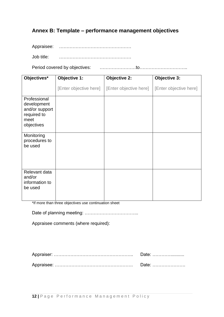## **Annex B: Template – performance management objectives**

Appraisee: …………………………………………

Job title: …………………………………………

Period covered by objectives: ……………………to…………………………..

| Objectives*                                                                        | Objective 1:           | <b>Objective 2:</b>    | <b>Objective 3:</b>    |
|------------------------------------------------------------------------------------|------------------------|------------------------|------------------------|
|                                                                                    | [Enter objective here] | [Enter objective here] | [Enter objective here] |
| Professional<br>development<br>and/or support<br>required to<br>meet<br>objectives |                        |                        |                        |
| Monitoring<br>procedures to<br>be used                                             |                        |                        |                        |
| Relevant data<br>and/or<br>information to<br>be used                               |                        |                        |                        |

\*If more than three objectives use continuation sheet

Date of planning meeting: ……………………………...

Appraisee comments (where required):

| Date: |
|-------|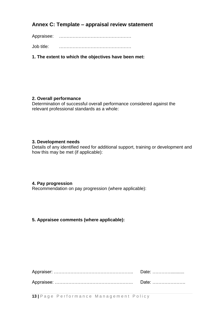## **Annex C: Template – appraisal review statement**

Appraisee: …………………………………………

Job title: …………………………………………

**1. The extent to which the objectives have been met:**

#### **2. Overall performance**

Determination of successful overall performance considered against the relevant professional standards as a whole:

#### **3. Development needs**

Details of any identified need for additional support, training or development and how this may be met (if applicable):

#### **4. Pay progression**

Recommendation on pay progression (where applicable):

#### **5. Appraisee comments (where applicable):**

**13** | Page Performance Management Policy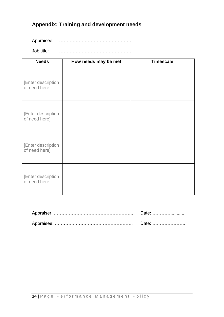## **Appendix: Training and development needs**

Appraisee: ………………………………………

Job title: …………………………………………

| <b>Needs</b>                        | How needs may be met | <b>Timescale</b> |
|-------------------------------------|----------------------|------------------|
| [Enter description<br>of need here] |                      |                  |
| [Enter description<br>of need here] |                      |                  |
| [Enter description<br>of need here] |                      |                  |
| [Enter description<br>of need here] |                      |                  |

| <b>Date:</b> |
|--------------|
|              |